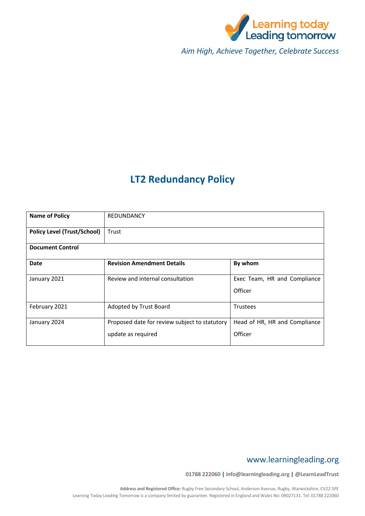

*Aim High, Achieve Together, Celebrate Success*

# **LT2 Redundancy Policy**

| <b>Name of Policy</b>              | REDUNDANCY                                    |                                         |  |
|------------------------------------|-----------------------------------------------|-----------------------------------------|--|
| <b>Policy Level (Trust/School)</b> | Trust                                         |                                         |  |
| <b>Document Control</b>            |                                               |                                         |  |
| Date                               | <b>Revision Amendment Details</b>             | By whom                                 |  |
| January 2021                       | Review and internal consultation              | Exec Team, HR and Compliance<br>Officer |  |
|                                    |                                               |                                         |  |
| February 2021                      | Adopted by Trust Board                        | <b>Trustees</b>                         |  |
| January 2024                       | Proposed date for review subject to statutory | Head of HR, HR and Compliance           |  |
|                                    | update as required                            | Officer                                 |  |

# www.learningleading.org

**01788 222060 | info@learningleading.org | @LearnLeadTrust**

**Address and Registered Office:** Rugby Free Secondary School, Anderson Avenue, Rugby, Warwickshire, CV22 5PE Learning Today Leading Tomorrow is a company limited by guarantee. Registered in England and Wales No: 09027131. Tel: 01788 222060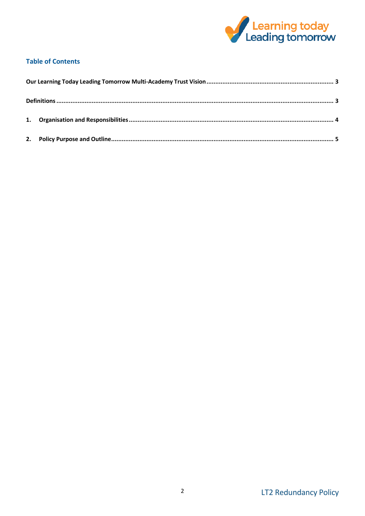

# **Table of Contents**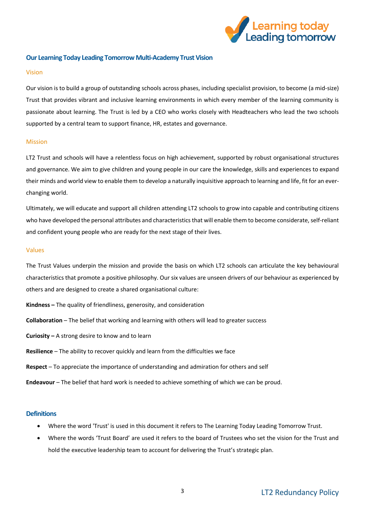

# <span id="page-2-0"></span>**Our Learning Today Leading Tomorrow Multi-Academy Trust Vision**

#### Vision

Our vision is to build a group of outstanding schools across phases, including specialist provision, to become (a mid-size) Trust that provides vibrant and inclusive learning environments in which every member of the learning community is passionate about learning. The Trust is led by a CEO who works closely with Headteachers who lead the two schools supported by a central team to support finance, HR, estates and governance.

### Mission

LT2 Trust and schools will have a relentless focus on high achievement, supported by robust organisational structures and governance. We aim to give children and young people in our care the knowledge, skills and experiences to expand their minds and world view to enable them to develop a naturally inquisitive approach to learning and life, fit for an everchanging world.

Ultimately, we will educate and support all children attending LT2 schools to grow into capable and contributing citizens who have developed the personal attributes and characteristics that will enable them to become considerate, self-reliant and confident young people who are ready for the next stage of their lives.

#### Values

The Trust Values underpin the mission and provide the basis on which LT2 schools can articulate the key behavioural characteristics that promote a positive philosophy. Our six values are unseen drivers of our behaviour as experienced by others and are designed to create a shared organisational culture:

- **Kindness –** The quality of friendliness, generosity, and consideration
- **Collaboration** The belief that working and learning with others will lead to greater success
- **Curiosity –** A strong desire to know and to learn
- **Resilience** The ability to recover quickly and learn from the difficulties we face
- **Respect** To appreciate the importance of understanding and admiration for others and self
- **Endeavour** The belief that hard work is needed to achieve something of which we can be proud.

### <span id="page-2-1"></span>**Definitions**

- Where the word 'Trust' is used in this document it refers to The Learning Today Leading Tomorrow Trust.
- Where the words 'Trust Board' are used it refers to the board of Trustees who set the vision for the Trust and hold the executive leadership team to account for delivering the Trust's strategic plan.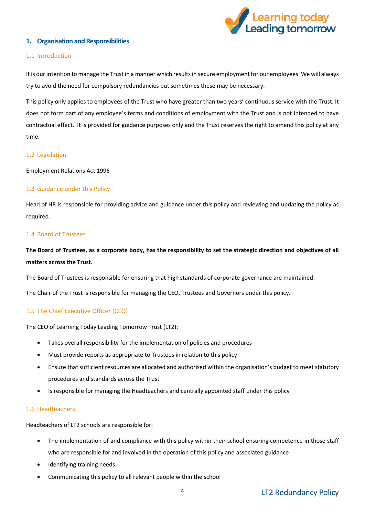

# <span id="page-3-0"></span>**1. Organisation and Responsibilities**

# 1.1 Introduction

It is our intention to manage the Trust in a manner which results in secure employment for our employees. We will always try to avoid the need for compulsory redundancies but sometimes these may be necessary.

This policy only applies to employees of the Trust who have greater than two years' continuous service with the Trust. It does not form part of any employee's terms and conditions of employment with the Trust and is not intended to have contractual effect. It is provided for guidance purposes only and the Trust reserves the right to amend this policy at any time.

# 1.2 Legislation

Employment Relations Act 1996

# 1.3 Guidance under this Policy

Head of HR is responsible for providing advice and guidance under this policy and reviewing and updating the policy as required.

### 1.4 Board of Trustees

# **The Board of Trustees, as a corporate body, has the responsibility to set the strategic direction and objectives of all matters across the Trust.**

The Board of Trustees is responsible for ensuring that high standards of corporate governance are maintained.

The Chair of the Trust is responsible for managing the CEO, Trustees and Governors under this policy.

# 1.5 The Chief Executive Officer (CEO)

The CEO of Learning Today Leading Tomorrow Trust (LT2):

- Takes overall responsibility for the implementation of policies and procedures
- Must provide reports as appropriate to Trustees in relation to this policy
- Ensure that sufficient resources are allocated and authorised within the organisation's budget to meet statutory procedures and standards across the Trust
- Is responsible for managing the Headteachers and centrally appointed staff under this policy

### 1.6 Headteachers

Headteachers of LT2 schools are responsible for:

- The implementation of and compliance with this policy within their school ensuring competence in those staff who are responsible for and involved in the operation of this policy and associated guidance
- Identifying training needs
- Communicating this policy to all relevant people within the school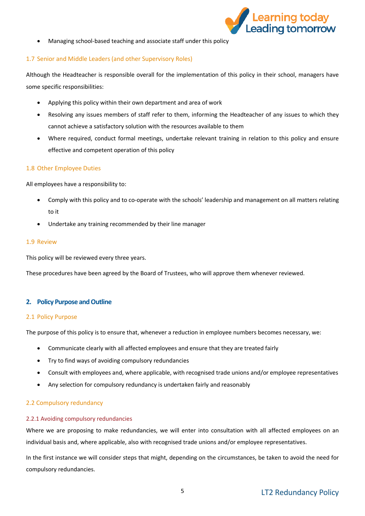

Managing school-based teaching and associate staff under this policy

# 1.7 Senior and Middle Leaders (and other Supervisory Roles)

Although the Headteacher is responsible overall for the implementation of this policy in their school, managers have some specific responsibilities:

- Applying this policy within their own department and area of work
- Resolving any issues members of staff refer to them, informing the Headteacher of any issues to which they cannot achieve a satisfactory solution with the resources available to them
- Where required, conduct formal meetings, undertake relevant training in relation to this policy and ensure effective and competent operation of this policy

# 1.8 Other Employee Duties

All employees have a responsibility to:

- Comply with this policy and to co-operate with the schools' leadership and management on all matters relating to it
- Undertake any training recommended by their line manager

### 1.9 Review

This policy will be reviewed every three years.

These procedures have been agreed by the Board of Trustees, who will approve them whenever reviewed.

### <span id="page-4-0"></span>**2. Policy Purpose and Outline**

### 2.1 Policy Purpose

The purpose of this policy is to ensure that, whenever a reduction in employee numbers becomes necessary, we:

- Communicate clearly with all affected employees and ensure that they are treated fairly
- Try to find ways of avoiding compulsory redundancies
- Consult with employees and, where applicable, with recognised trade unions and/or employee representatives
- Any selection for compulsory redundancy is undertaken fairly and reasonably

### 2.2 Compulsory redundancy

### 2.2.1 Avoiding compulsory redundancies

Where we are proposing to make redundancies, we will enter into consultation with all affected employees on an individual basis and, where applicable, also with recognised trade unions and/or employee representatives.

In the first instance we will consider steps that might, depending on the circumstances, be taken to avoid the need for compulsory redundancies.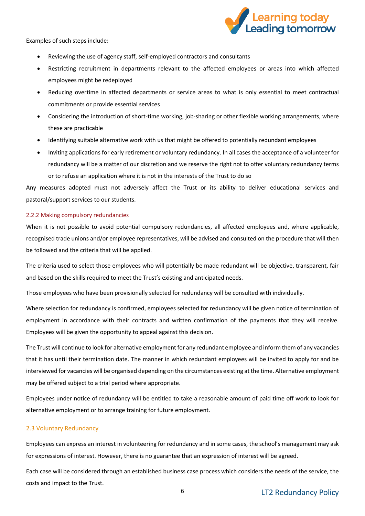

Examples of such steps include:

- Reviewing the use of agency staff, self-employed contractors and consultants
- Restricting recruitment in departments relevant to the affected employees or areas into which affected employees might be redeployed
- Reducing overtime in affected departments or service areas to what is only essential to meet contractual commitments or provide essential services
- Considering the introduction of short-time working, job-sharing or other flexible working arrangements, where these are practicable
- Identifying suitable alternative work with us that might be offered to potentially redundant employees
- Inviting applications for early retirement or voluntary redundancy. In all cases the acceptance of a volunteer for redundancy will be a matter of our discretion and we reserve the right not to offer voluntary redundancy terms or to refuse an application where it is not in the interests of the Trust to do so

Any measures adopted must not adversely affect the Trust or its ability to deliver educational services and pastoral/support services to our students.

# 2.2.2 Making compulsory redundancies

When it is not possible to avoid potential compulsory redundancies, all affected employees and, where applicable, recognised trade unions and/or employee representatives, will be advised and consulted on the procedure that will then be followed and the criteria that will be applied.

The criteria used to select those employees who will potentially be made redundant will be objective, transparent, fair and based on the skills required to meet the Trust's existing and anticipated needs.

Those employees who have been provisionally selected for redundancy will be consulted with individually.

Where selection for redundancy is confirmed, employees selected for redundancy will be given notice of termination of employment in accordance with their contracts and written confirmation of the payments that they will receive. Employees will be given the opportunity to appeal against this decision.

The Trust will continue to look for alternative employment for any redundant employee and inform them of any vacancies that it has until their termination date. The manner in which redundant employees will be invited to apply for and be interviewed for vacancies will be organised depending on the circumstances existing at the time. Alternative employment may be offered subject to a trial period where appropriate.

Employees under notice of redundancy will be entitled to take a reasonable amount of paid time off work to look for alternative employment or to arrange training for future employment.

# 2.3 Voluntary Redundancy

Employees can express an interest in volunteering for redundancy and in some cases, the school's management may ask for expressions of interest. However, there is no guarantee that an expression of interest will be agreed.

Each case will be considered through an established business case process which considers the needs of the service, the costs and impact to the Trust.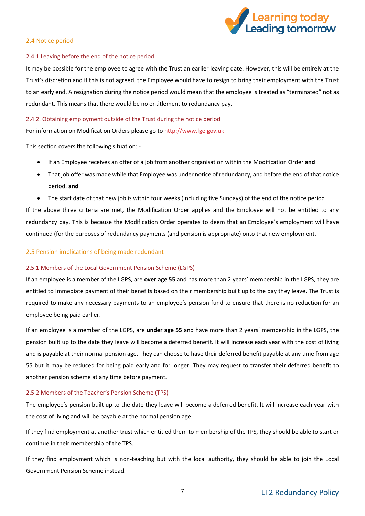

### 2.4 Notice period

# 2.4.1 Leaving before the end of the notice period

It may be possible for the employee to agree with the Trust an earlier leaving date. However, this will be entirely at the Trust's discretion and if this is not agreed, the Employee would have to resign to bring their employment with the Trust to an early end. A resignation during the notice period would mean that the employee is treated as "terminated" not as redundant. This means that there would be no entitlement to redundancy pay.

# 2.4.2. Obtaining employment outside of the Trust during the notice period

For information on Modification Orders please go to [http://www.lge.gov.uk](http://www.lge.gov.uk/)

This section covers the following situation: -

- If an Employee receives an offer of a job from another organisation within the Modification Order **and**
- That job offer was made while that Employee was under notice of redundancy, and before the end of that notice period, **and**
- The start date of that new job is within four weeks (including five Sundays) of the end of the notice period

If the above three criteria are met, the Modification Order applies and the Employee will not be entitled to any redundancy pay. This is because the Modification Order operates to deem that an Employee's employment will have continued (for the purposes of redundancy payments (and pension is appropriate) onto that new employment.

# 2.5 Pension implications of being made redundant

# 2.5.1 Members of the Local Government Pension Scheme (LGPS)

If an employee is a member of the LGPS, are **over age 55** and has more than 2 years' membership in the LGPS, they are entitled to immediate payment of their benefits based on their membership built up to the day they leave. The Trust is required to make any necessary payments to an employee's pension fund to ensure that there is no reduction for an employee being paid earlier.

If an employee is a member of the LGPS, are **under age 55** and have more than 2 years' membership in the LGPS, the pension built up to the date they leave will become a deferred benefit. It will increase each year with the cost of living and is payable at their normal pension age. They can choose to have their deferred benefit payable at any time from age 55 but it may be reduced for being paid early and for longer. They may request to transfer their deferred benefit to another pension scheme at any time before payment.

# 2.5.2 Members of the Teacher's Pension Scheme (TPS)

The employee's pension built up to the date they leave will become a deferred benefit. It will increase each year with the cost of living and will be payable at the normal pension age.

If they find employment at another trust which entitled them to membership of the TPS, they should be able to start or continue in their membership of the TPS.

If they find employment which is non-teaching but with the local authority, they should be able to join the Local Government Pension Scheme instead.